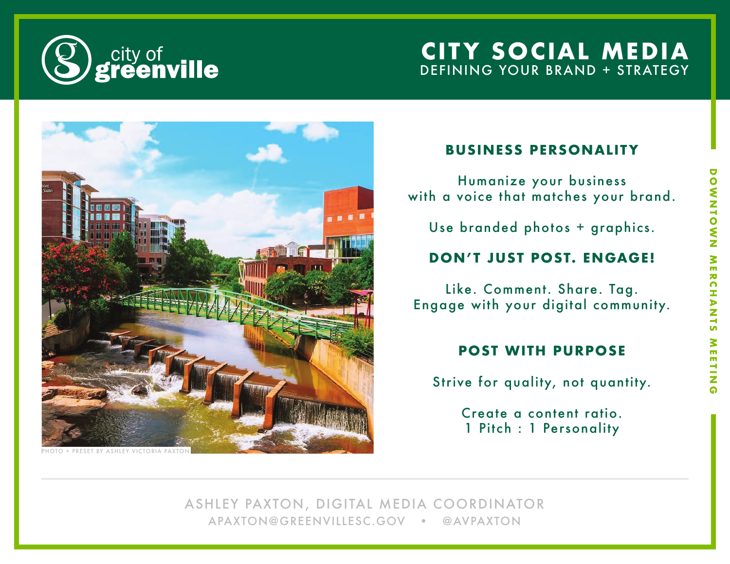

# **CITY SOCIAL MEDIA** DEFINING YOUR BRAND + STRATEGY



#### **BUSINESS PERSONALITY**

Humanize your business with a voice that matches your brand.

Use branded photos + graphics.

### **DON'T JUST POST. ENGAGE!**

Like. Comment. Share. Tag. Engage with your digital community.

### **POST WITH PURPOSE**

Strive for quality, not quantity.

Create a content ratio. 1 Pitch : 1 Personality

ASHLEY PAXTON, DIGITAL MEDIA COORDINATOR APAXTON@GREENVILLESC.GOV • @AVPAXTON

# **DOWNTOWN MERCHANTS MEETING** ONNIVER MERCHANTS  $\frac{2}{n}$ m ۳ ż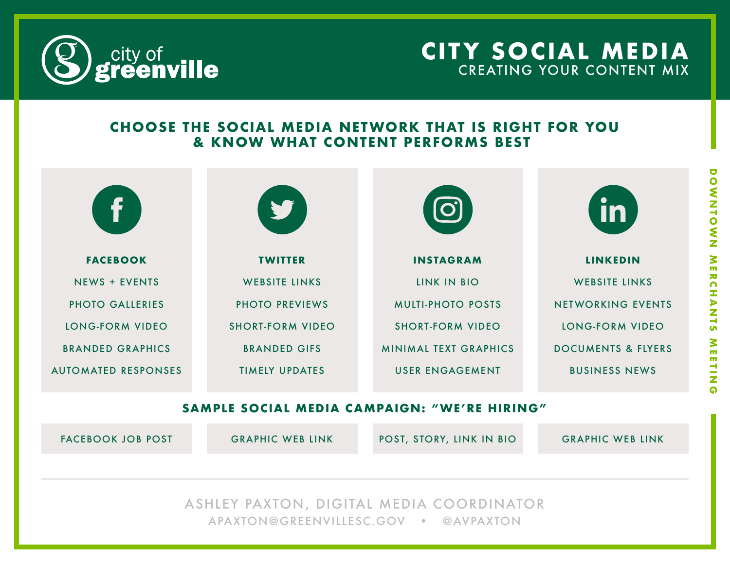

## **CITY SOCIAL MEDIA** CREATING YOUR CONTENT MIX

### **CHOOSE THE SOCIAL MEDIA NETWORK THAT IS RIGHT FOR YOU & KNOW WHAT CONTENT PERFORMS BEST**

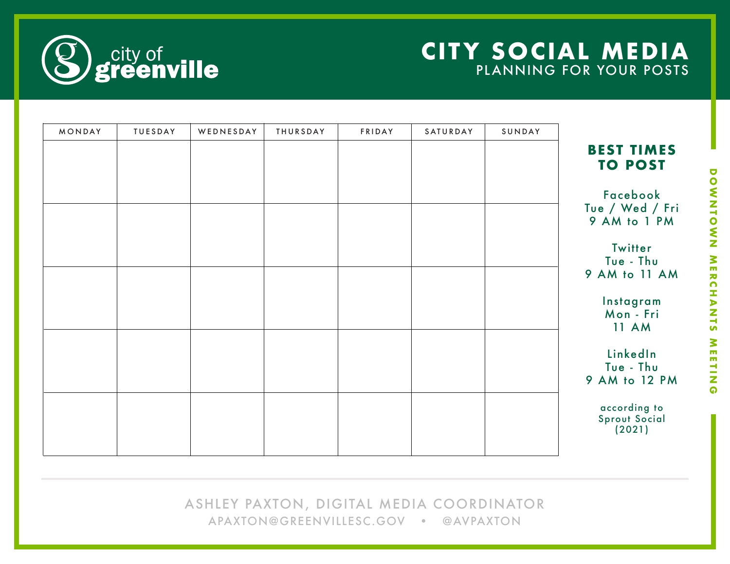# **CITY SOCIAL MEDIA** PLANNING FOR YOUR POSTS



| MONDAY | TUESDAY | WEDNESDAY | THURSDAY | FRIDAY | SATURDAY | SUNDAY |                                                |
|--------|---------|-----------|----------|--------|----------|--------|------------------------------------------------|
|        |         |           |          |        |          |        | <b>BEST TIMES</b><br><b>TO POST</b>            |
|        |         |           |          |        |          |        | Facebook<br>Tue / Wed / Fri<br>9 AM to 1 PM    |
|        |         |           |          |        |          |        | Twitter<br>Tue - Thu<br>9 AM to 11 AM          |
|        |         |           |          |        |          |        | Instagram<br>Mon - Fri<br><b>11 AM</b>         |
|        |         |           |          |        |          |        | LinkedIn<br>Tue - Thu<br>9 AM to 12 PM         |
|        |         |           |          |        |          |        | according to<br><b>Sprout Social</b><br>(2021) |

ASHLEY PAXTON, DIGITAL MEDIA COORDINATOR APAXTON@GREENVILLESC.GOV • @AVPAXTON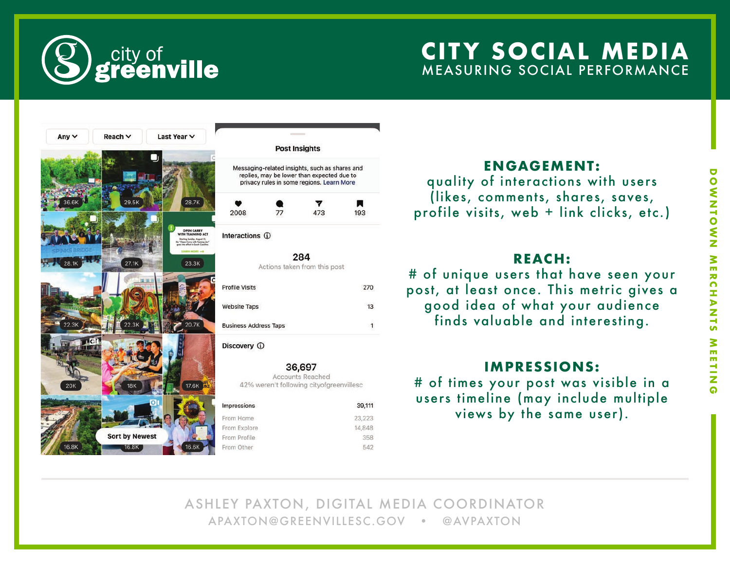

# **CITY SOCIAL MEDIA** MEASURING SOCIAL PERFORMANCE



#### **ENGAGEMENT:**

quality of interactions with users (likes, comments, shares, saves, profile visits, web + link clicks, etc.)

#### **REACH:**

# of unique users that have seen your post, at least once. This metric gives a good idea of what your audience finds valuable and interesting.

### **IMPRESSIONS:**

# of times your post was visible in a users timeline (may include multiple views by the same user).

ASHLEY PAXTON, DIGITAL MEDIA COORDINATOR APAXTON@GREENVILLESC.GOV • @AVPAXTON

358

542

270

13

 $\mathbf{1}$